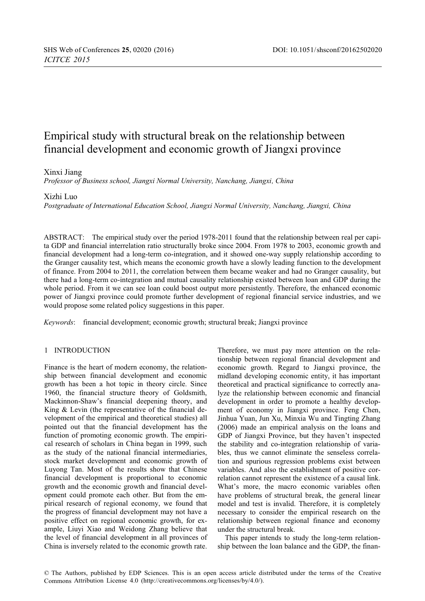# Empirical study with structural break on the relationship between financial development and economic growth of Jiangxi province

# Xinxi Jiang

*Professor of Business school, Jiangxi Normal University, Nanchang, Jiangxi, China*

### Xizhi Luo

*Postgraduate of International Education School, Jiangxi Normal University, Nanchang, Jiangxi, China*

ABSTRACT: The empirical study over the period 1978-2011 found that the relationship between real per capita GDP and financial interrelation ratio structurally broke since 2004. From 1978 to 2003, economic growth and financial development had a long-term co-integration, and it showed one-way supply relationship according to the Granger causality test, which means the economic growth have a slowly leading function to the development of finance. From 2004 to 2011, the correlation between them became weaker and had no Granger causality, but there had a long-term co-integration and mutual causality relationship existed between loan and GDP during the whole period. From it we can see loan could boost output more persistently. Therefore, the enhanced economic power of Jiangxi province could promote further development of regional financial service industries, and we would propose some related policy suggestions in this paper.

*Keywords*: financial development; economic growth; structural break; Jiangxi province

# 1 INTRODUCTION

Finance is the heart of modern economy, the relationship between financial development and economic growth has been a hot topic in theory circle. Since 1960, the financial structure theory of Goldsmith, Mackinnon-Shaw's financial deepening theory, and King & Levin (the representative of the financial development of the empirical and theoretical studies) all pointed out that the financial development has the function of promoting economic growth. The empirical research of scholars in China began in 1999, such as the study of the national financial intermediaries, stock market development and economic growth of Luyong Tan. Most of the results show that Chinese financial development is proportional to economic growth and the economic growth and financial development could promote each other. But from the empirical research of regional economy, we found that the progress of financial development may not have a positive effect on regional economic growth, for example, Liuyi Xiao and Weidong Zhang believe that the level of financial development in all provinces of China is inversely related to the economic growth rate.

Therefore, we must pay more attention on the relationship between regional financial development and economic growth. Regard to Jiangxi province, the midland developing economic entity, it has important theoretical and practical significance to correctly analyze the relationship between economic and financial development in order to promote a healthy development of economy in Jiangxi province. Feng Chen, Jinhua Yuan, Jun Xu, Minxia Wu and Tingting Zhang (2006) made an empirical analysis on the loans and GDP of Jiangxi Province, but they haven't inspected the stability and co-integration relationship of variables, thus we cannot eliminate the senseless correlation and spurious regression problems exist between variables. And also the establishment of positive correlation cannot represent the existence of a causal link. What's more, the macro economic variables often have problems of structural break, the general linear model and test is invalid. Therefore, it is completely necessary to consider the empirical research on the relationship between regional finance and economy under the structural break.

This paper intends to study the long-term relationship between the loan balance and the GDP, the finan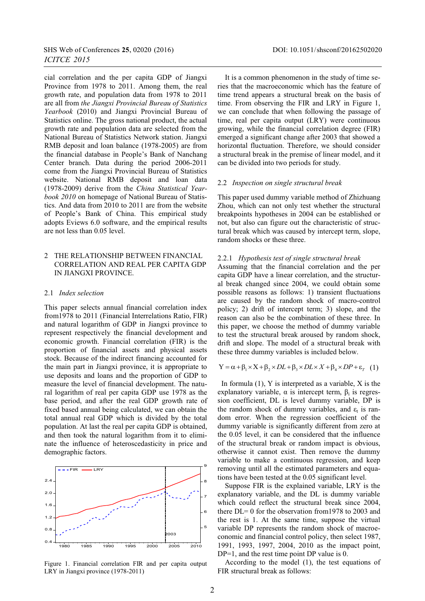cial correlation and the per capita GDP of Jiangxi Province from 1978 to 2011. Among them, the real growth rate, and population data from 1978 to 2011 are all from *the Jiangxi Provincial Bureau of Statistics Yearbook* (2010) and Jiangxi Provincial Bureau of Statistics online. The gross national product, the actual growth rate and population data are selected from the National Bureau of Statistics Network station. Jiangxi RMB deposit and loan balance (1978-2005) are from the financial database in People's Bank of Nanchang Center branch. Data during the period 2006-2011 come from the Jiangxi Provincial Bureau of Statistics website. National RMB deposit and loan data (1978-2009) derive from the *China Statistical Yearbook 2010* on homepage of National Bureau of Statistics. And data from 2010 to 2011 are from the website of People's Bank of China. This empirical study adopts Eviews 6.0 software, and the empirical results are not less than 0.05 level.

# 2 THE RELATIONSHIP BETWEEN FINANCIAL CORRELATION AND REAL PER CAPITA GDP IN JIANGXI PROVINCE.

#### 2.1 *Index selection*

This paper selects annual financial correlation index from1978 to 2011 (Financial Interrelations Ratio, FIR) and natural logarithm of GDP in Jiangxi province to represent respectively the financial development and economic growth. Financial correlation (FIR) is the proportion of financial assets and physical assets stock. Because of the indirect financing accounted for the main part in Jiangxi province, it is appropriate to use deposits and loans and the proportion of GDP to measure the level of financial development. The natural logarithm of real per capita GDP use 1978 as the base period, and after the real GDP growth rate of fixed based annual being calculated, we can obtain the total annual real GDP which is divided by the total population. At last the real per capita GDP is obtained, and then took the natural logarithm from it to eliminate the influence of heteroscedasticity in price and demographic factors.



It is a common phenomenon in the study of time series that the macroeconomic which has the feature of time trend appears a structural break on the basis of time. From observing the FIR and LRY in Figure 1, we can conclude that when following the passage of time, real per capita output (LRY) were continuous growing, while the financial correlation degree (FIR) emerged a significant change after 2003 that showed a horizontal fluctuation. Therefore, we should consider a structural break in the premise of linear model, and it can be divided into two periods for study.

### 2.2 *Inspection on single structural break*

This paper used dummy variable method of Zhizhuang Zhou, which can not only test whether the structural breakpoints hypotheses in 2004 can be established or not, but also can figure out the characteristic of structural break which was caused by intercept term, slope, random shocks or these three.

#### 2.2.1 *Hypothesis test of single structural break*

Assuming that the financial correlation and the per capita GDP have a linear correlation, and the structural break changed since 2004, we could obtain some possible reasons as follows: 1) transient fluctuations are caused by the random shock of macro-control policy; 2) drift of intercept term; 3) slope, and the reason can also be the combination of these three. In this paper, we choose the method of dummy variable to test the structural break aroused by random shock, drift and slope. The model of a structural break with these three dummy variables is included below.

$$
Y = \alpha + \beta_1 \times X + \beta_2 \times DL + \beta_3 \times DL \times X + \beta_4 \times DP + \varepsilon_r \quad (1)
$$

In formula  $(1)$ , Y is interpreted as a variable, X is the explanatory variable,  $\alpha$  is intercept term,  $\beta_i$  is regression coefficient, DL is level dummy variable, DP is the random shock of dummy variables, and  $\varepsilon_t$  is random error. When the regression coefficient of the dummy variable is significantly different from zero at the 0.05 level, it can be considered that the influence of the structural break or random impact is obvious, otherwise it cannot exist. Then remove the dummy variable to make a continuous regression, and keep removing until all the estimated parameters and equations have been tested at the 0.05 significant level.

Suppose FIR is the explained variable, LRY is the explanatory variable, and the DL is dummy variable which could reflect the structural break since 2004, there DL= 0 for the observation from1978 to 2003 and the rest is 1. At the same time, suppose the virtual variable DP represents the random shock of macroeconomic and financial control policy, then select 1987, 1991, 1993, 1997, 2004, 2010 as the impact point, DP=1, and the rest time point DP value is 0.

According to the model (1), the test equations of FIR structural break as follows: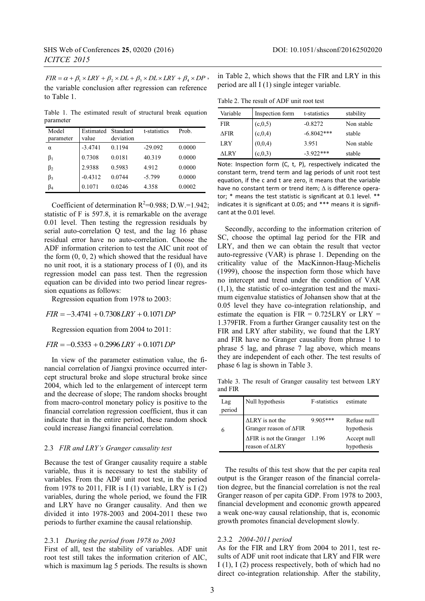$FIR = \alpha + \beta_1 \times LRY + \beta_2 \times DL + \beta_3 \times DL \times LRY + \beta_4 \times DP$ , the variable conclusion after regression can reference to Table 1.

Table 1. The estimated result of structural break equation parameter

| Model<br>parameter | Estimated<br>value | Standard<br>deviation | t-statistics | Prob.  |
|--------------------|--------------------|-----------------------|--------------|--------|
| α                  | $-3.4741$          | 0.1194                | $-29.092$    | 0.0000 |
| $\beta_1$          | 0.7308             | 0.0181                | 40.319       | 0.0000 |
| $\beta_2$          | 2.9388             | 0.5983                | 4.912        | 0.0000 |
| $\beta_3$          | $-0.4312$          | 0.0744                | $-5.799$     | 0.0000 |
| $\beta_4$          | 0.1071             | 0.0246                | 4.358        | 0.0002 |

Coefficient of determination  $R^2=0.988$ ; D.W.=1.942; statistic of F is 597.8, it is remarkable on the average 0.01 level. Then testing the regression residuals by serial auto-correlation Q test, and the lag 16 phase residual error have no auto-correlation. Choose the ADF information criterion to test the AIC unit root of the form (0, 0, 2) which showed that the residual have no unit root, it is a stationary process of I (0), and its regression model can pass test. Then the regression equation can be divided into two period linear regression equations as follows:

Regression equation from 1978 to 2003:

 $FIR = -3.4741 + 0.7308 LRY + 0.1071 DP$ 

Regression equation from 2004 to 2011:

 $FIR = -0.5353 + 0.2996 LRY + 0.1071 DP$ 

In view of the parameter estimation value, the financial correlation of Jiangxi province occurred intercept structural broke and slope structural broke since 2004, which led to the enlargement of intercept term and the decrease of slope; The random shocks brought from macro-control monetary policy is positive to the financial correlation regression coefficient, thus it can indicate that in the entire period, these random shock could increase Jiangxi financial correlation.

## 2.3 *FIR and LRY's Granger causality test*

Because the test of Granger causality require a stable variable, thus it is necessary to test the stability of variables. From the ADF unit root test, in the period from 1978 to 2011, FIR is I (1) variable, LRY is I (2) variables, during the whole period, we found the FIR and LRY have no Granger causality. And then we divided it into 1978-2003 and 2004-2011 these two periods to further examine the causal relationship.

#### 2.3.1 *During the period from 1978 to 2003*

First of all, test the stability of variables. ADF unit root test still takes the information criterion of AIC, which is maximum lag 5 periods. The results is shown in Table 2, which shows that the FIR and LRY in this period are all I (1) single integer variable.

Table 2. The result of ADF unit root test

| Variable    | Inspection form | t-statistics | stability  |
|-------------|-----------------|--------------|------------|
| <b>FIR</b>  | (c, 0, 5)       | $-0.8272$    | Non stable |
| <b>AFIR</b> | (c, 0, 4)       | $-6.8042***$ | stable     |
| LRY         | (0,0,4)         | 3.951        | Non stable |
| ALRY        | (c, 0, 3)       | $-3.922***$  | stable     |

Note: Inspection form (C, t, P), respectively indicated the constant term, trend term and lag periods of unit root test equation, if the c and t are zero, it means that the variable have no constant term or trend item; Δ is difference operator; \* means the test statistic is significant at 0.1 level. \*\* indicates it is significant at 0.05; and \*\*\* means it is significant at the 0.01 level.

Secondly, according to the information criterion of SC, choose the optimal lag period for the FIR and LRY, and then we can obtain the result that vector auto-regressive (VAR) is phrase 1. Depending on the criticality value of the MacKinnon-Haug-Michelis (1999), choose the inspection form those which have no intercept and trend under the condition of VAR  $(1,1)$ , the statistic of co-integration test and the maximum eigenvalue statistics of Johansen show that at the 0.05 level they have co-integration relationship, and estimate the equation is  $FIR = 0.725LRY$  or  $LRY =$ 1.379FIR. From a further Granger causality test on the FIR and LRY after stability, we found that the LRY and FIR have no Granger causality from phrase 1 to phrase 5 lag, and phrase 7 lag above, which means they are independent of each other. The test results of phase 6 lag is shown in Table 3.

Table 3. The result of Granger causality test between LRY and FIR

| Lag<br>period | Null hypothesis                                                    | F-statistics | estimate                  |
|---------------|--------------------------------------------------------------------|--------------|---------------------------|
| 6             | $\Delta LRY$ is not the<br>Granger reason of $\Delta {\rm FIR}$    | $9.905***$   | Refuse null<br>hypothesis |
|               | $\Delta$ FIR is not the Granger 1.196<br>reason of $\triangle$ LRY |              | Accept null<br>hypothesis |

The results of this test show that the per capita real output is the Granger reason of the financial correlation degree, but the financial correlation is not the real Granger reason of per capita GDP. From 1978 to 2003, financial development and economic growth appeared a weak one-way causal relationship, that is, economic growth promotes financial development slowly.

#### 2.3.2 *2004-2011 period*

As for the FIR and LRY from 2004 to 2011, test results of ADF unit root indicate that LRY and FIR were I (1), I (2) process respectively, both of which had no direct co-integration relationship. After the stability,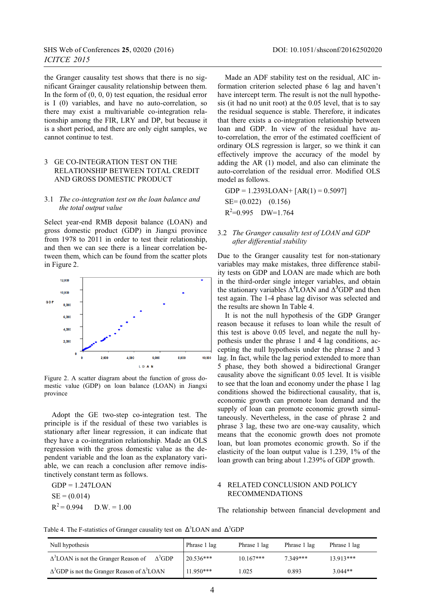the Granger causality test shows that there is no significant Grainger causality relationship between them. In the form of  $(0, 0, 0)$  test equation, the residual error is I (0) variables, and have no auto-correlation, so there may exist a multivariable co-integration relationship among the FIR, LRY and DP, but because it is a short period, and there are only eight samples, we cannot continue to test.

# 3 GE CO-INTEGRATION TEST ON THE RELATIONSHIP BETWEEN TOTAL CREDIT AND GROSS DOMESTIC PRODUCT

### 3.1 *The co-integration test on the loan balance and the total output value*

Select year-end RMB deposit balance (LOAN) and gross domestic product (GDP) in Jiangxi province from 1978 to 2011 in order to test their relationship, and then we can see there is a linear correlation between them, which can be found from the scatter plots in Figure 2.



Figure 2. A scatter diagram about the function of gross domestic value (GDP) on loan balance (LOAN) in Jiangxi province

Adopt the GE two-step co-integration test. The principle is if the residual of these two variables is stationary after linear regression, it can indicate that they have a co-integration relationship. Made an OLS regression with the gross domestic value as the dependent variable and the loan as the explanatory variable, we can reach a conclusion after remove indistinctively constant term as follows.

 $GDP = 1.247LOAN$  $SE = (0.014)$  $R^2 = 0.994$  D.W. = 1.00

Made an ADF stability test on the residual, AIC information criterion selected phase 6 lag and haven't have intercept term. The result is not the null hypothesis (it had no unit root) at the 0.05 level, that is to say the residual sequence is stable. Therefore, it indicates that there exists a co-integration relationship between loan and GDP. In view of the residual have auto-correlation, the error of the estimated coefficient of ordinary OLS regression is larger, so we think it can effectively improve the accuracy of the model by adding the AR (1) model, and also can eliminate the auto-correlation of the residual error. Modified OLS model as follows.

GDP = 1.2393LOAN+ [AR(1) = 0.5097] SE= (0.022) (0.156) R2 =0.995 DW=1.764

# 3.2 *The Granger causality test of LOAN and GDP after differential stability*

Due to the Granger causality test for non-stationary variables may make mistakes, three difference stability tests on GDP and LOAN are made which are both in the third-order single integer variables, and obtain the stationary variables Δ**<sup>3</sup>** LOAN and Δ**<sup>3</sup>** GDP and then test again. The 1-4 phase lag divisor was selected and the results are shown In Table 4.

It is not the null hypothesis of the GDP Granger reason because it refuses to loan while the result of this test is above 0.05 level, and negate the null hypothesis under the phrase 1 and 4 lag conditions, accepting the null hypothesis under the phrase 2 and 3 lag. In fact, while the lag period extended to more than 5 phase, they both showed a bidirectional Granger causality above the significant 0.05 level. It is visible to see that the loan and economy under the phase 1 lag conditions showed the bidirectional causality, that is, economic growth can promote loan demand and the supply of loan can promote economic growth simultaneously. Nevertheless, in the case of phrase 2 and phrase 3 lag, these two are one-way causality, which means that the economic growth does not promote loan, but loan promotes economic growth. So if the elasticity of the loan output value is 1.239, 1% of the loan growth can bring about 1.239% of GDP growth.

# 4 RELATED CONCLUSION AND POLICY RECOMMENDATIONS

The relationship between financial development and

Table 4. The F-statistics of Granger causality test on  $\Delta^3$  LOAN and  $\Delta^3$ GDP

| Null hypothesis                                                           | Phrase 1 lag | Phrase 1 lag | Phrase 1 lag | Phrase 1 lag |
|---------------------------------------------------------------------------|--------------|--------------|--------------|--------------|
| $\Delta^3$ GDP<br>$\Delta$ <sup>3</sup> LOAN is not the Granger Reason of | 20.536***    | $10.167***$  | 7.349***     | 13.913***    |
| $\Delta^3$ GDP is not the Granger Reason of $\Delta^3$ LOAN               | $11.950***$  | .025         | 0.893        | $3.044**$    |